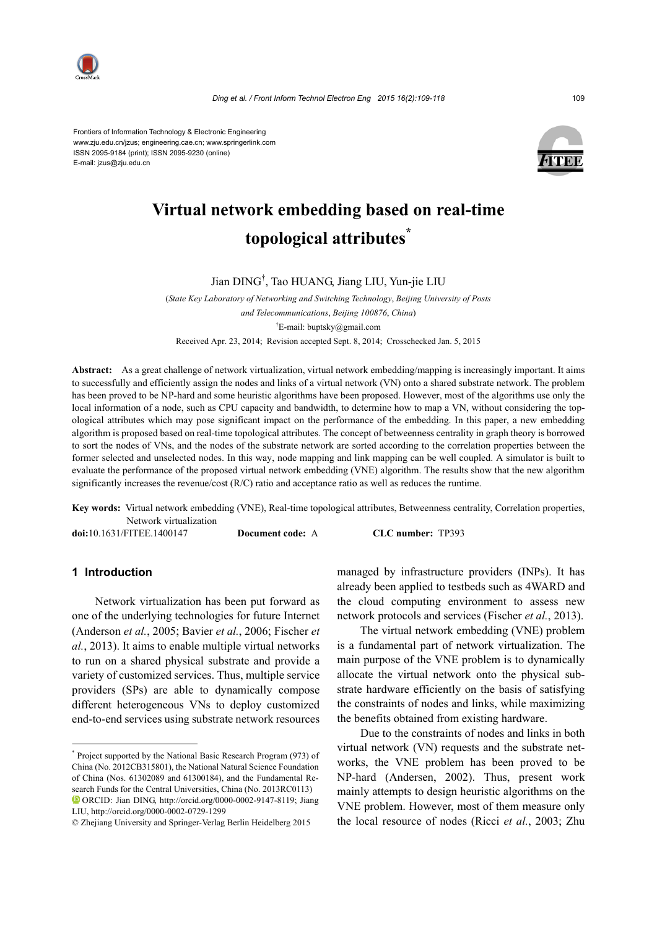

Frontiers of Information Technology & Electronic Engineering www.zju.edu.cn/jzus; engineering.cae.cn; www.springerlink.com ISSN 2095-9184 (print); ISSN 2095-9230 (online) E-mail: jzus@zju.edu.cn



# **Virtual network embedding based on real-time topological attributes\***

Jian DING† , Tao HUANG, Jiang LIU, Yun-jie LIU

(*State Key Laboratory of Networking and Switching Technology*, *Beijing University of Posts and Telecommunications*, *Beijing 100876*, *China*) † E-mail: buptsky@gmail.com Received Apr. 23, 2014; Revision accepted Sept. 8, 2014; Crosschecked Jan. 5, 2015

**Abstract:** As a great challenge of network virtualization, virtual network embedding/mapping is increasingly important. It aims to successfully and efficiently assign the nodes and links of a virtual network (VN) onto a shared substrate network. The problem has been proved to be NP-hard and some heuristic algorithms have been proposed. However, most of the algorithms use only the local information of a node, such as CPU capacity and bandwidth, to determine how to map a VN, without considering the topological attributes which may pose significant impact on the performance of the embedding. In this paper, a new embedding algorithm is proposed based on real-time topological attributes. The concept of betweenness centrality in graph theory is borrowed to sort the nodes of VNs, and the nodes of the substrate network are sorted according to the correlation properties between the former selected and unselected nodes. In this way, node mapping and link mapping can be well coupled. A simulator is built to evaluate the performance of the proposed virtual network embedding (VNE) algorithm. The results show that the new algorithm significantly increases the revenue/cost (R/C) ratio and acceptance ratio as well as reduces the runtime.

**Key words:** Virtual network embedding (VNE), Real-time topological attributes, Betweenness centrality, Correlation properties, Network virtualization **doi:**10.1631/FITEE.1400147 **Document code:** A **CLC number:** TP393

# **1 Introduction**

Network virtualization has been put forward as one of the underlying technologies for future Internet (Anderson *et al.*, 2005; Bavier *et al.*, 2006; Fischer *et al.*, 2013). It aims to enable multiple virtual networks to run on a shared physical substrate and provide a variety of customized services. Thus, multiple service providers (SPs) are able to dynamically compose different heterogeneous VNs to deploy customized end-to-end services using substrate network resources

\* Project supported by the National Basic Research Program (973) of China (No. 2012CB315801), the National Natural Science Foundation of China (Nos. 61302089 and 61300184), and the Fundamental Research Funds for the Central Universities, China (No. 2013RC0113) ORCID: Jian DING, http://orcid.org/0000-0002-9147-8119; Jiang LIU, http://orcid.org/0000-0002-0729-1299

managed by infrastructure providers (INPs). It has already been applied to testbeds such as 4WARD and the cloud computing environment to assess new network protocols and services (Fischer *et al.*, 2013).

The virtual network embedding (VNE) problem is a fundamental part of network virtualization. The main purpose of the VNE problem is to dynamically allocate the virtual network onto the physical substrate hardware efficiently on the basis of satisfying the constraints of nodes and links, while maximizing the benefits obtained from existing hardware.

Due to the constraints of nodes and links in both virtual network (VN) requests and the substrate networks, the VNE problem has been proved to be NP-hard (Andersen, 2002). Thus, present work mainly attempts to design heuristic algorithms on the VNE problem. However, most of them measure only the local resource of nodes (Ricci *et al.*, 2003; Zhu

<sup>©</sup> Zhejiang University and Springer-Verlag Berlin Heidelberg 2015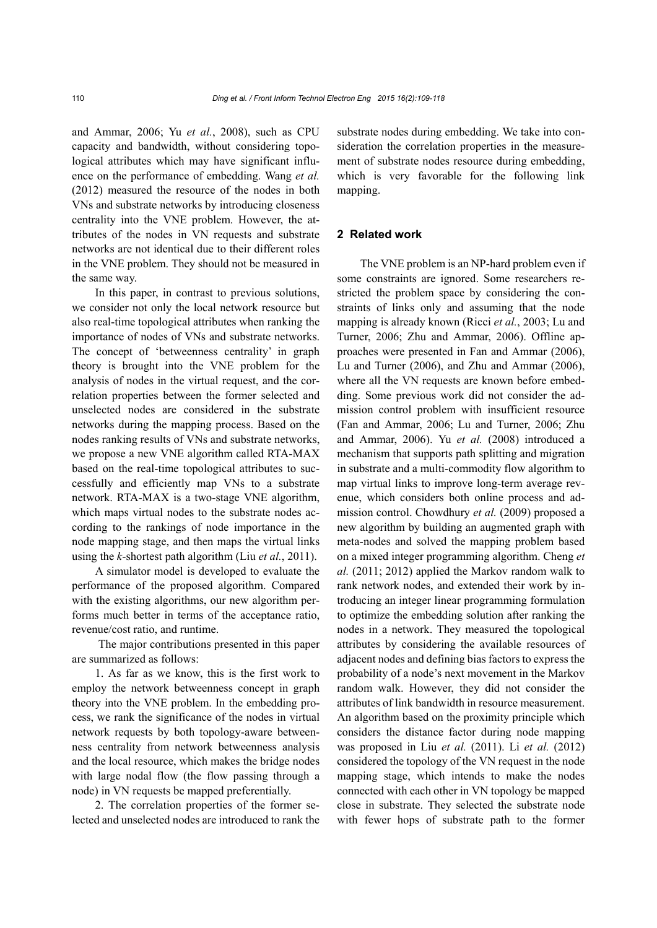and Ammar, 2006; Yu *et al.*, 2008), such as CPU capacity and bandwidth, without considering topological attributes which may have significant influence on the performance of embedding. Wang *et al.* (2012) measured the resource of the nodes in both VNs and substrate networks by introducing closeness centrality into the VNE problem. However, the attributes of the nodes in VN requests and substrate networks are not identical due to their different roles in the VNE problem. They should not be measured in the same way.

In this paper, in contrast to previous solutions, we consider not only the local network resource but also real-time topological attributes when ranking the importance of nodes of VNs and substrate networks. The concept of 'betweenness centrality' in graph theory is brought into the VNE problem for the analysis of nodes in the virtual request, and the correlation properties between the former selected and unselected nodes are considered in the substrate networks during the mapping process. Based on the nodes ranking results of VNs and substrate networks, we propose a new VNE algorithm called RTA-MAX based on the real-time topological attributes to successfully and efficiently map VNs to a substrate network. RTA-MAX is a two-stage VNE algorithm, which maps virtual nodes to the substrate nodes according to the rankings of node importance in the node mapping stage, and then maps the virtual links using the *k*-shortest path algorithm (Liu *et al.*, 2011).

A simulator model is developed to evaluate the performance of the proposed algorithm. Compared with the existing algorithms, our new algorithm performs much better in terms of the acceptance ratio, revenue/cost ratio, and runtime.

The major contributions presented in this paper are summarized as follows:

1. As far as we know, this is the first work to employ the network betweenness concept in graph theory into the VNE problem. In the embedding process, we rank the significance of the nodes in virtual network requests by both topology-aware betweenness centrality from network betweenness analysis and the local resource, which makes the bridge nodes with large nodal flow (the flow passing through a node) in VN requests be mapped preferentially.

2. The correlation properties of the former selected and unselected nodes are introduced to rank the substrate nodes during embedding. We take into consideration the correlation properties in the measurement of substrate nodes resource during embedding, which is very favorable for the following link mapping.

## **2 Related work**

The VNE problem is an NP-hard problem even if some constraints are ignored. Some researchers restricted the problem space by considering the constraints of links only and assuming that the node mapping is already known (Ricci *et al.*, 2003; Lu and Turner, 2006; Zhu and Ammar, 2006). Offline approaches were presented in Fan and Ammar (2006), Lu and Turner (2006), and Zhu and Ammar (2006), where all the VN requests are known before embedding. Some previous work did not consider the admission control problem with insufficient resource (Fan and Ammar, 2006; Lu and Turner, 2006; Zhu and Ammar, 2006). Yu *et al.* (2008) introduced a mechanism that supports path splitting and migration in substrate and a multi-commodity flow algorithm to map virtual links to improve long-term average revenue, which considers both online process and admission control. Chowdhury *et al.* (2009) proposed a new algorithm by building an augmented graph with meta-nodes and solved the mapping problem based on a mixed integer programming algorithm. Cheng *et al.* (2011; 2012) applied the Markov random walk to rank network nodes, and extended their work by introducing an integer linear programming formulation to optimize the embedding solution after ranking the nodes in a network. They measured the topological attributes by considering the available resources of adjacent nodes and defining bias factors to express the probability of a node's next movement in the Markov random walk. However, they did not consider the attributes of link bandwidth in resource measurement. An algorithm based on the proximity principle which considers the distance factor during node mapping was proposed in Liu *et al.* (2011). Li *et al.* (2012) considered the topology of the VN request in the node mapping stage, which intends to make the nodes connected with each other in VN topology be mapped close in substrate. They selected the substrate node with fewer hops of substrate path to the former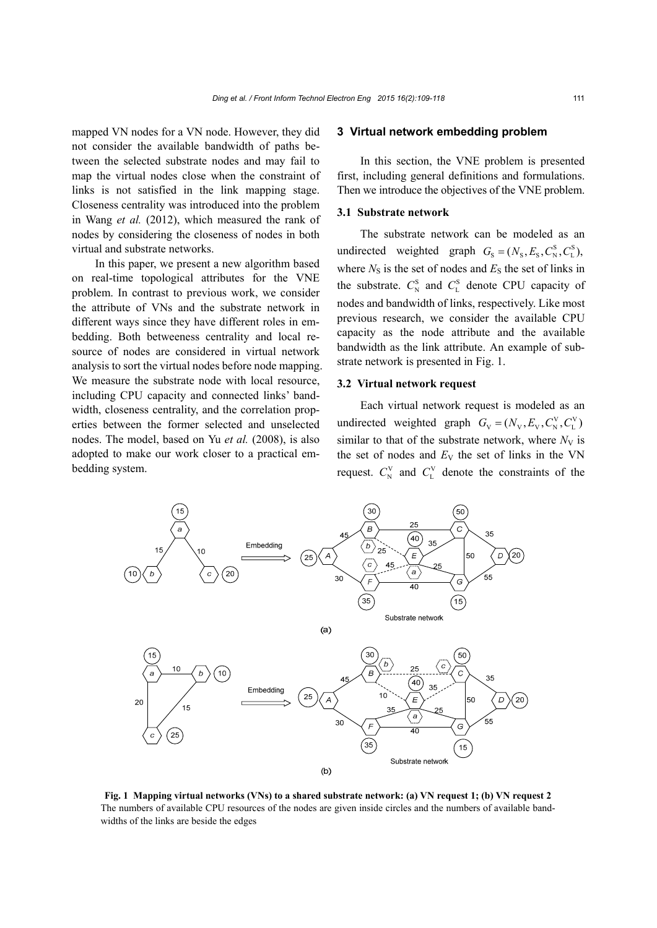mapped VN nodes for a VN node. However, they did not consider the available bandwidth of paths between the selected substrate nodes and may fail to map the virtual nodes close when the constraint of links is not satisfied in the link mapping stage. Closeness centrality was introduced into the problem in Wang *et al.* (2012), which measured the rank of nodes by considering the closeness of nodes in both virtual and substrate networks.

In this paper, we present a new algorithm based on real-time topological attributes for the VNE problem. In contrast to previous work, we consider the attribute of VNs and the substrate network in different ways since they have different roles in embedding. Both betweeness centrality and local resource of nodes are considered in virtual network analysis to sort the virtual nodes before node mapping. We measure the substrate node with local resource, including CPU capacity and connected links' bandwidth, closeness centrality, and the correlation properties between the former selected and unselected nodes. The model, based on Yu *et al.* (2008), is also adopted to make our work closer to a practical embedding system.

### **3 Virtual network embedding problem**

In this section, the VNE problem is presented first, including general definitions and formulations. Then we introduce the objectives of the VNE problem.

## **3.1 Substrate network**

The substrate network can be modeled as an undirected weighted graph  $G_s = (N_s, E_s, C_s^s, C_L^s)$ , where  $N<sub>S</sub>$  is the set of nodes and  $E<sub>S</sub>$  the set of links in the substrate.  $C_{\text{N}}^{\text{S}}$  and  $C_{\text{I}}^{\text{S}}$  denote CPU capacity of nodes and bandwidth of links, respectively. Like most previous research, we consider the available CPU capacity as the node attribute and the available bandwidth as the link attribute. An example of substrate network is presented in Fig. 1.

## **3.2 Virtual network request**

Each virtual network request is modeled as an undirected weighted graph  $G_V = (N_V, E_V, C_N^V, C_L^V)$ similar to that of the substrate network, where  $N_V$  is the set of nodes and  $E_V$  the set of links in the VN request.  $C_N^V$  and  $C_L^V$  denote the constraints of the



**Fig. 1 Mapping virtual networks (VNs) to a shared substrate network: (a) VN request 1; (b) VN request 2** The numbers of available CPU resources of the nodes are given inside circles and the numbers of available bandwidths of the links are beside the edges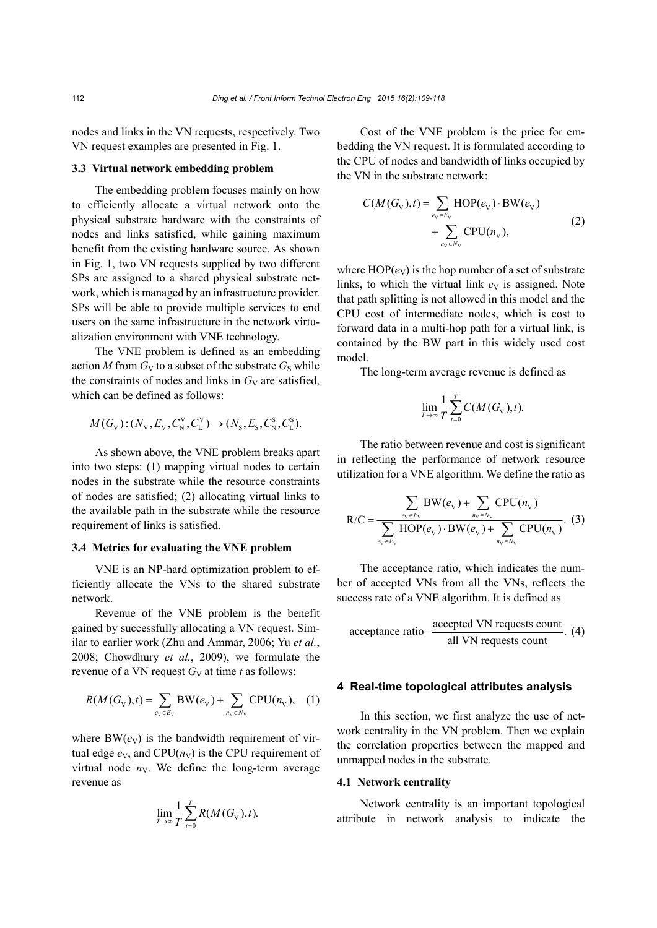nodes and links in the VN requests, respectively. Two VN request examples are presented in Fig. 1.

#### **3.3 Virtual network embedding problem**

The embedding problem focuses mainly on how to efficiently allocate a virtual network onto the physical substrate hardware with the constraints of nodes and links satisfied, while gaining maximum benefit from the existing hardware source. As shown in Fig. 1, two VN requests supplied by two different SPs are assigned to a shared physical substrate network, which is managed by an infrastructure provider. SPs will be able to provide multiple services to end users on the same infrastructure in the network virtualization environment with VNE technology.

The VNE problem is defined as an embedding action *M* from  $G_V$  to a subset of the substrate  $G_S$  while the constraints of nodes and links in  $G_V$  are satisfied. which can be defined as follows:

$$
M(G_v): (N_v, E_v, C_v^v, C_v^v) \to (N_s, E_s, C_v^s, C_v^s).
$$

As shown above, the VNE problem breaks apart into two steps: (1) mapping virtual nodes to certain nodes in the substrate while the resource constraints of nodes are satisfied; (2) allocating virtual links to the available path in the substrate while the resource requirement of links is satisfied.

## **3.4 Metrics for evaluating the VNE problem**

VNE is an NP-hard optimization problem to efficiently allocate the VNs to the shared substrate network.

Revenue of the VNE problem is the benefit gained by successfully allocating a VN request. Similar to earlier work (Zhu and Ammar, 2006; Yu *et al.*, 2008; Chowdhury *et al.*, 2009), we formulate the revenue of a VN request  $G_V$  at time *t* as follows:

$$
R(M(G_{\rm V}),t) = \sum_{e_{\rm V} \in E_{\rm V}} {\rm BW}(e_{\rm V}) + \sum_{n_{\rm V} \in N_{\rm V}} {\rm CPU}(n_{\rm V}), \quad (1)
$$

where  $BW(e_V)$  is the bandwidth requirement of virtual edge  $e_V$ , and CPU( $n_V$ ) is the CPU requirement of virtual node  $n<sub>V</sub>$ . We define the long-term average revenue as

$$
\lim_{T\to\infty}\frac{1}{T}\sum_{t=0}^T R(M(G_{\rm V}),t).
$$

Cost of the VNE problem is the price for embedding the VN request. It is formulated according to the CPU of nodes and bandwidth of links occupied by the VN in the substrate network:

$$
C(M(G_v),t) = \sum_{e_v \in E_v} \text{HOP}(e_v) \cdot \text{BW}(e_v)
$$
  
+ 
$$
\sum_{n_v \in N_v} \text{CPU}(n_v),
$$
 (2)

where  $HOP(e_V)$  is the hop number of a set of substrate links, to which the virtual link  $e_V$  is assigned. Note that path splitting is not allowed in this model and the CPU cost of intermediate nodes, which is cost to forward data in a multi-hop path for a virtual link, is contained by the BW part in this widely used cost model.

The long-term average revenue is defined as

$$
\lim_{T \to \infty} \frac{1}{T} \sum_{t=0}^{T} C(M(G_{V}), t).
$$

The ratio between revenue and cost is significant in reflecting the performance of network resource utilization for a VNE algorithm. We define the ratio as

$$
R/C = \frac{\sum_{e_V \in E_V} BW(e_V) + \sum_{n_V \in N_V} CPU(n_V)}{\sum_{e_V \in E_V} HOP(e_V) \cdot BW(e_V) + \sum_{n_V \in N_V} CPU(n_V)}.
$$
 (3)

The acceptance ratio, which indicates the number of accepted VNs from all the VNs, reflects the success rate of a VNE algorithm. It is defined as

acceptance ratio=
$$
\frac{\text{accepted VN requests count}}{\text{all VN requests count}}.
$$
 (4)

## **4 Real-time topological attributes analysis**

In this section, we first analyze the use of network centrality in the VN problem. Then we explain the correlation properties between the mapped and unmapped nodes in the substrate.

#### **4.1 Network centrality**

Network centrality is an important topological attribute in network analysis to indicate the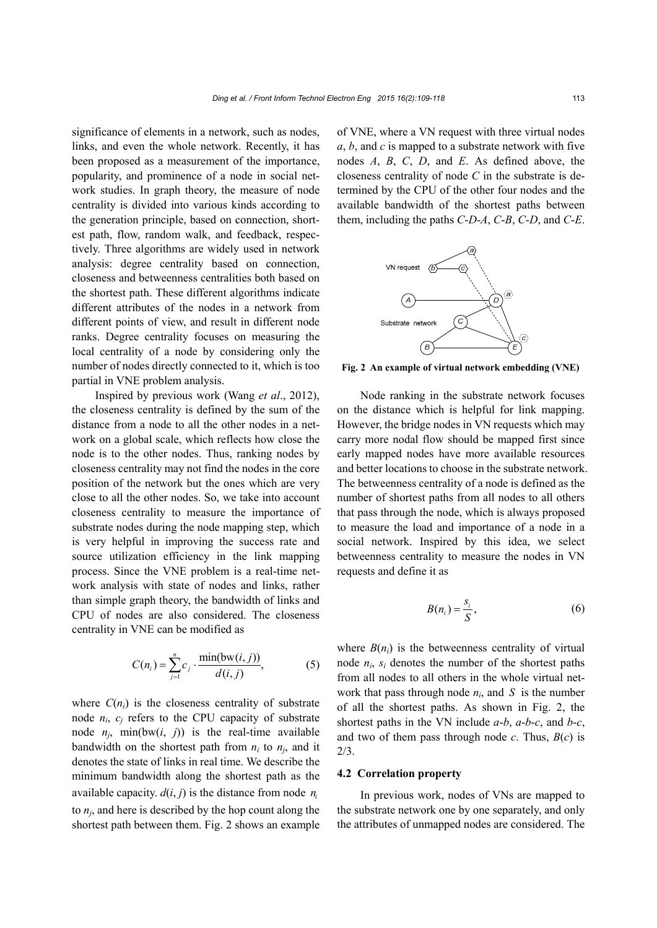significance of elements in a network, such as nodes, links, and even the whole network. Recently, it has been proposed as a measurement of the importance, popularity, and prominence of a node in social network studies. In graph theory, the measure of node centrality is divided into various kinds according to the generation principle, based on connection, shortest path, flow, random walk, and feedback, respectively. Three algorithms are widely used in network analysis: degree centrality based on connection, closeness and betweenness centralities both based on the shortest path. These different algorithms indicate different attributes of the nodes in a network from different points of view, and result in different node ranks. Degree centrality focuses on measuring the local centrality of a node by considering only the number of nodes directly connected to it, which is too partial in VNE problem analysis.

Inspired by previous work (Wang *et al*., 2012), the closeness centrality is defined by the sum of the distance from a node to all the other nodes in a network on a global scale, which reflects how close the node is to the other nodes. Thus, ranking nodes by closeness centrality may not find the nodes in the core position of the network but the ones which are very close to all the other nodes. So, we take into account closeness centrality to measure the importance of substrate nodes during the node mapping step, which is very helpful in improving the success rate and source utilization efficiency in the link mapping process. Since the VNE problem is a real-time network analysis with state of nodes and links, rather than simple graph theory, the bandwidth of links and CPU of nodes are also considered. The closeness centrality in VNE can be modified as

$$
C(n_i) = \sum_{j=1}^{n} c_j \cdot \frac{\min(bw(i, j))}{d(i, j)},
$$
 (5)

where  $C(n_i)$  is the closeness centrality of substrate node  $n_i$ ,  $c_i$  refers to the CPU capacity of substrate node  $n_i$ , min(bw( $i$ ,  $j$ )) is the real-time available bandwidth on the shortest path from  $n_i$  to  $n_j$ , and it denotes the state of links in real time. We describe the minimum bandwidth along the shortest path as the available capacity.  $d(i, j)$  is the distance from node  $n_i$ to  $n_i$ , and here is described by the hop count along the shortest path between them. Fig. 2 shows an example

of VNE, where a VN request with three virtual nodes *a*, *b*, and *c* is mapped to a substrate network with five nodes *A*, *B*, *C*, *D*, and *E*. As defined above, the closeness centrality of node *C* in the substrate is determined by the CPU of the other four nodes and the available bandwidth of the shortest paths between them, including the paths *C*-*D*-*A*, *C*-*B*, *C*-*D*, and *C*-*E*.



**Fig. 2 An example of virtual network embedding (VNE)**

Node ranking in the substrate network focuses on the distance which is helpful for link mapping. However, the bridge nodes in VN requests which may carry more nodal flow should be mapped first since early mapped nodes have more available resources and better locations to choose in the substrate network. The betweenness centrality of a node is defined as the number of shortest paths from all nodes to all others that pass through the node, which is always proposed to measure the load and importance of a node in a social network. Inspired by this idea, we select betweenness centrality to measure the nodes in VN requests and define it as

$$
B(n_i) = \frac{s_i}{S},\tag{6}
$$

where  $B(n_i)$  is the betweenness centrality of virtual node  $n_i$ ,  $s_i$  denotes the number of the shortest paths from all nodes to all others in the whole virtual network that pass through node  $n_i$ , and  $S$  is the number of all the shortest paths. As shown in Fig. 2, the shortest paths in the VN include *a*-*b*, *a*-*b*-*c*, and *b*-*c*, and two of them pass through node  $c$ . Thus,  $B(c)$  is 2/3.

#### **4.2 Correlation property**

In previous work, nodes of VNs are mapped to the substrate network one by one separately, and only the attributes of unmapped nodes are considered. The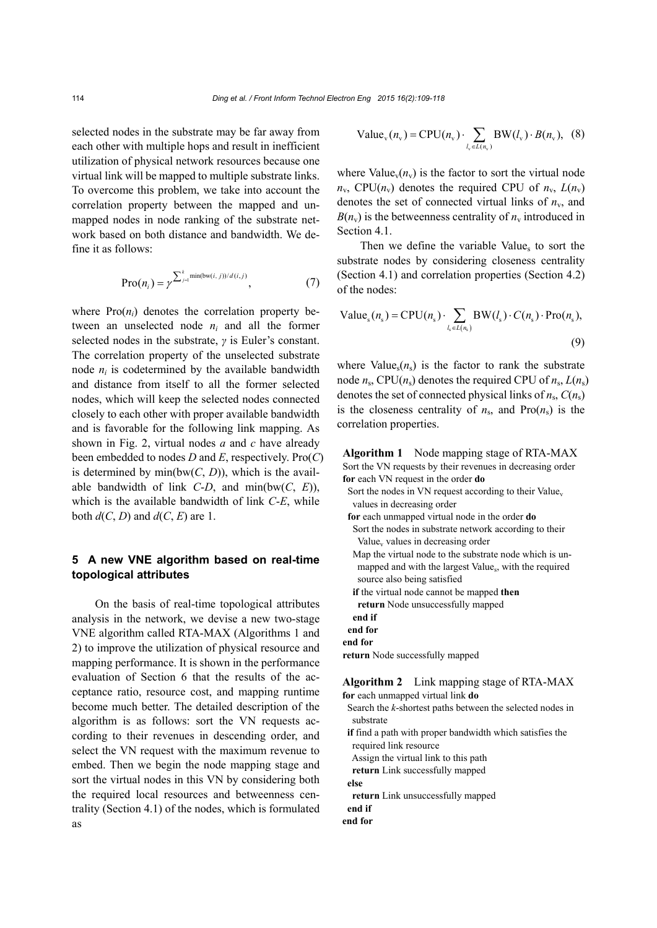selected nodes in the substrate may be far away from each other with multiple hops and result in inefficient utilization of physical network resources because one virtual link will be mapped to multiple substrate links. To overcome this problem, we take into account the correlation property between the mapped and unmapped nodes in node ranking of the substrate network based on both distance and bandwidth. We define it as follows:

$$
\text{Pro}(n_i) = \gamma^{\sum_{j=1}^{k} \min(\text{bw}(i,j))/d(i,j)},\tag{7}
$$

where  $Pro(n_i)$  denotes the correlation property between an unselected node *ni* and all the former selected nodes in the substrate, *γ* is Euler's constant. The correlation property of the unselected substrate node  $n_i$  is codetermined by the available bandwidth and distance from itself to all the former selected nodes, which will keep the selected nodes connected closely to each other with proper available bandwidth and is favorable for the following link mapping. As shown in Fig. 2, virtual nodes *a* and *c* have already been embedded to nodes *D* and *E*, respectively. Pro(*C*) is determined by min( $bw(C, D)$ ), which is the available bandwidth of link  $C-D$ , and min(bw( $C$ ,  $E$ )), which is the available bandwidth of link *C*-*E*, while both  $d(C, D)$  and  $d(C, E)$  are 1.

# **5 A new VNE algorithm based on real-time topological attributes**

On the basis of real-time topological attributes analysis in the network, we devise a new two-stage VNE algorithm called RTA-MAX (Algorithms 1 and 2) to improve the utilization of physical resource and mapping performance. It is shown in the performance evaluation of Section 6 that the results of the acceptance ratio, resource cost, and mapping runtime become much better. The detailed description of the algorithm is as follows: sort the VN requests according to their revenues in descending order, and select the VN request with the maximum revenue to embed. Then we begin the node mapping stage and sort the virtual nodes in this VN by considering both the required local resources and betweenness centrality (Section 4.1) of the nodes, which is formulated as

Value<sub>v</sub>
$$
(n_v)
$$
 = CPU $(n_v)$  ·  $\sum_{l_v \in L(n_v)} BW(l_v) \cdot B(n_v)$ , (8)

where Value<sub>v</sub> $(n_v)$  is the factor to sort the virtual node  $n_v$ , CPU( $n_v$ ) denotes the required CPU of  $n_v$ ,  $L(n_v)$ denotes the set of connected virtual links of  $n_v$ , and  $B(n_v)$  is the betweenness centrality of  $n_v$  introduced in Section 4.1.

Then we define the variable Value<sub>s</sub> to sort the substrate nodes by considering closeness centrality (Section 4.1) and correlation properties (Section 4.2) of the nodes:

Value<sub>s</sub>
$$
(n_s)
$$
 = CPU $(n_s) \cdot \sum_{l_s \in L(n_s)} BW(l_s) \cdot C(n_s) \cdot Pro(n_s)$ , (9)

where  $Value_s(n_s)$  is the factor to rank the substrate node  $n_s$ , CPU( $n_s$ ) denotes the required CPU of  $n_s$ ,  $L(n_s)$ denotes the set of connected physical links of  $n_s$ ,  $C(n_s)$ is the closeness centrality of  $n_s$ , and Pro $(n_s)$  is the correlation properties.

**Algorithm 1** Node mapping stage of RTA-MAX Sort the VN requests by their revenues in decreasing order **for** each VN request in the order **do**

- Sort the nodes in VN request according to their Value<sub>v</sub> values in decreasing order
- **for** each unmapped virtual node in the order **do** Sort the nodes in substrate network according to their Value<sub>v</sub> values in decreasing order
- Map the virtual node to the substrate node which is unmapped and with the largest Values, with the required source also being satisfied
- **if** the virtual node cannot be mapped **then return** Node unsuccessfully mapped
- **end if**

 **end for end for**

**return** Node successfully mapped

**Algorithm 2** Link mapping stage of RTA-MAX **for** each unmapped virtual link **do**

- Search the *k*-shortest paths between the selected nodes in substrate
- **if** find a path with proper bandwidth which satisfies the required link resource

Assign the virtual link to this path

**return** Link successfully mapped

**else**

 **return** Link unsuccessfully mapped **end if** 

```
end for
```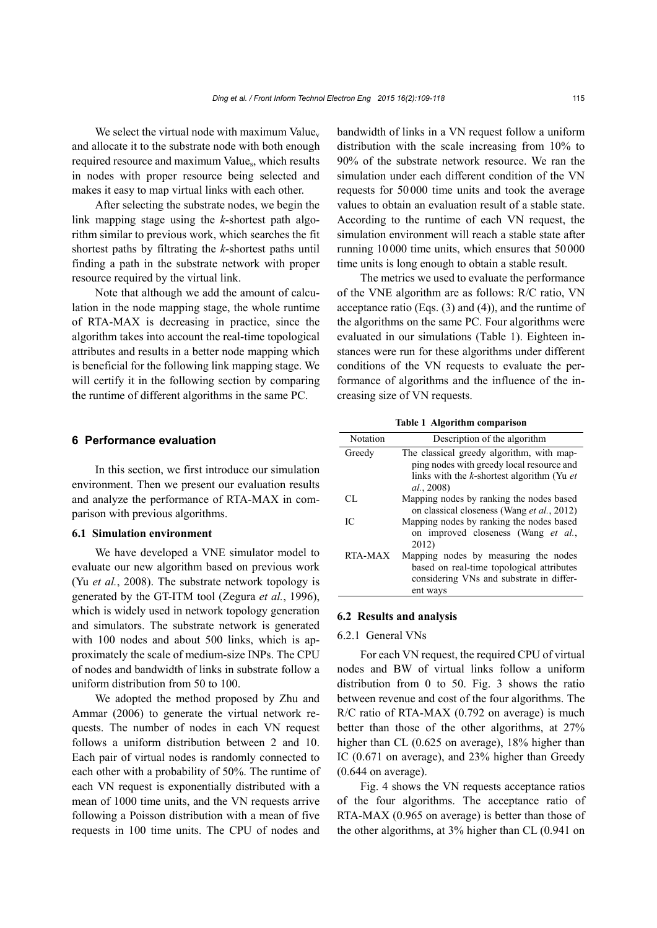We select the virtual node with maximum Value<sub>v</sub> and allocate it to the substrate node with both enough required resource and maximum Values, which results in nodes with proper resource being selected and makes it easy to map virtual links with each other.

After selecting the substrate nodes, we begin the link mapping stage using the *k*-shortest path algorithm similar to previous work, which searches the fit shortest paths by filtrating the *k*-shortest paths until finding a path in the substrate network with proper resource required by the virtual link.

Note that although we add the amount of calculation in the node mapping stage, the whole runtime of RTA-MAX is decreasing in practice, since the algorithm takes into account the real-time topological attributes and results in a better node mapping which is beneficial for the following link mapping stage. We will certify it in the following section by comparing the runtime of different algorithms in the same PC.

## **6 Performance evaluation**

In this section, we first introduce our simulation environment. Then we present our evaluation results and analyze the performance of RTA-MAX in comparison with previous algorithms.

#### **6.1 Simulation environment**

We have developed a VNE simulator model to evaluate our new algorithm based on previous work (Yu *et al.*, 2008). The substrate network topology is generated by the GT-ITM tool (Zegura *et al.*, 1996), which is widely used in network topology generation and simulators. The substrate network is generated with 100 nodes and about 500 links, which is approximately the scale of medium-size INPs. The CPU of nodes and bandwidth of links in substrate follow a uniform distribution from 50 to 100.

We adopted the method proposed by Zhu and Ammar (2006) to generate the virtual network requests. The number of nodes in each VN request follows a uniform distribution between 2 and 10. Each pair of virtual nodes is randomly connected to each other with a probability of 50%. The runtime of each VN request is exponentially distributed with a mean of 1000 time units, and the VN requests arrive following a Poisson distribution with a mean of five requests in 100 time units. The CPU of nodes and

bandwidth of links in a VN request follow a uniform distribution with the scale increasing from 10% to 90% of the substrate network resource. We ran the simulation under each different condition of the VN requests for 50 000 time units and took the average values to obtain an evaluation result of a stable state. According to the runtime of each VN request, the simulation environment will reach a stable state after running 10000 time units, which ensures that 50000 time units is long enough to obtain a stable result.

The metrics we used to evaluate the performance of the VNE algorithm are as follows: R/C ratio, VN acceptance ratio (Eqs.  $(3)$  and  $(4)$ ), and the runtime of the algorithms on the same PC. Four algorithms were evaluated in our simulations (Table 1). Eighteen instances were run for these algorithms under different conditions of the VN requests to evaluate the performance of algorithms and the influence of the increasing size of VN requests.

**Table 1 Algorithm comparison** 

| Notation | Description of the algorithm                                                                                                                               |
|----------|------------------------------------------------------------------------------------------------------------------------------------------------------------|
| Greedy   | The classical greedy algorithm, with map-<br>ping nodes with greedy local resource and<br>links with the k-shortest algorithm (Yu et<br><i>al.</i> , 2008) |
| CL.      | Mapping nodes by ranking the nodes based<br>on classical closeness (Wang <i>et al.</i> , 2012)                                                             |
| IС       | Mapping nodes by ranking the nodes based<br>on improved closeness (Wang et al.,<br>2012)                                                                   |
| RTA-MAX  | Mapping nodes by measuring the nodes<br>based on real-time topological attributes<br>considering VNs and substrate in differ-<br>ent ways                  |

#### **6.2 Results and analysis**

## 6.2.1 General VNs

For each VN request, the required CPU of virtual nodes and BW of virtual links follow a uniform distribution from 0 to 50. Fig. 3 shows the ratio between revenue and cost of the four algorithms. The R/C ratio of RTA-MAX (0.792 on average) is much better than those of the other algorithms, at 27% higher than CL (0.625 on average), 18% higher than IC (0.671 on average), and 23% higher than Greedy (0.644 on average).

Fig. 4 shows the VN requests acceptance ratios of the four algorithms. The acceptance ratio of RTA-MAX (0.965 on average) is better than those of the other algorithms, at 3% higher than CL (0.941 on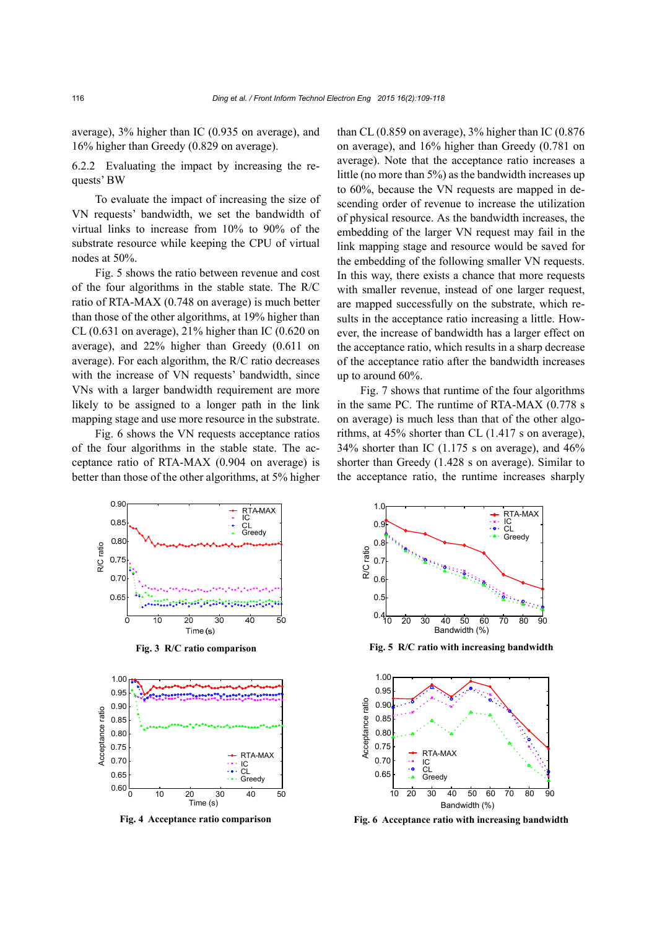average), 3% higher than IC (0.935 on average), and 16% higher than Greedy (0.829 on average).

6.2.2 Evaluating the impact by increasing the requests' BW

To evaluate the impact of increasing the size of VN requests' bandwidth, we set the bandwidth of virtual links to increase from 10% to 90% of the substrate resource while keeping the CPU of virtual nodes at 50%.

Fig. 5 shows the ratio between revenue and cost of the four algorithms in the stable state. The R/C ratio of RTA-MAX (0.748 on average) is much better than those of the other algorithms, at 19% higher than CL (0.631 on average), 21% higher than IC (0.620 on average), and 22% higher than Greedy (0.611 on average). For each algorithm, the R/C ratio decreases with the increase of VN requests' bandwidth, since VNs with a larger bandwidth requirement are more likely to be assigned to a longer path in the link mapping stage and use more resource in the substrate.

Fig. 6 shows the VN requests acceptance ratios of the four algorithms in the stable state. The acceptance ratio of RTA-MAX (0.904 on average) is better than those of the other algorithms, at 5% higher than CL  $(0.859$  on average),  $3\%$  higher than IC  $(0.876)$ on average), and 16% higher than Greedy (0.781 on average). Note that the acceptance ratio increases a little (no more than 5%) as the bandwidth increases up to 60%, because the VN requests are mapped in descending order of revenue to increase the utilization of physical resource. As the bandwidth increases, the embedding of the larger VN request may fail in the link mapping stage and resource would be saved for the embedding of the following smaller VN requests. In this way, there exists a chance that more requests with smaller revenue, instead of one larger request, are mapped successfully on the substrate, which results in the acceptance ratio increasing a little. However, the increase of bandwidth has a larger effect on the acceptance ratio, which results in a sharp decrease of the acceptance ratio after the bandwidth increases up to around 60%.

Fig. 7 shows that runtime of the four algorithms in the same PC. The runtime of RTA-MAX (0.778 s on average) is much less than that of the other algorithms, at 45% shorter than CL (1.417 s on average), 34% shorter than IC (1.175 s on average), and 46% shorter than Greedy (1.428 s on average). Similar to the acceptance ratio, the runtime increases sharply





**Fig. 4 Acceptance ratio comparison**



**Fig. 5 R/C ratio with increasing bandwidth**



**Fig. 6 Acceptance ratio with increasing bandwidth**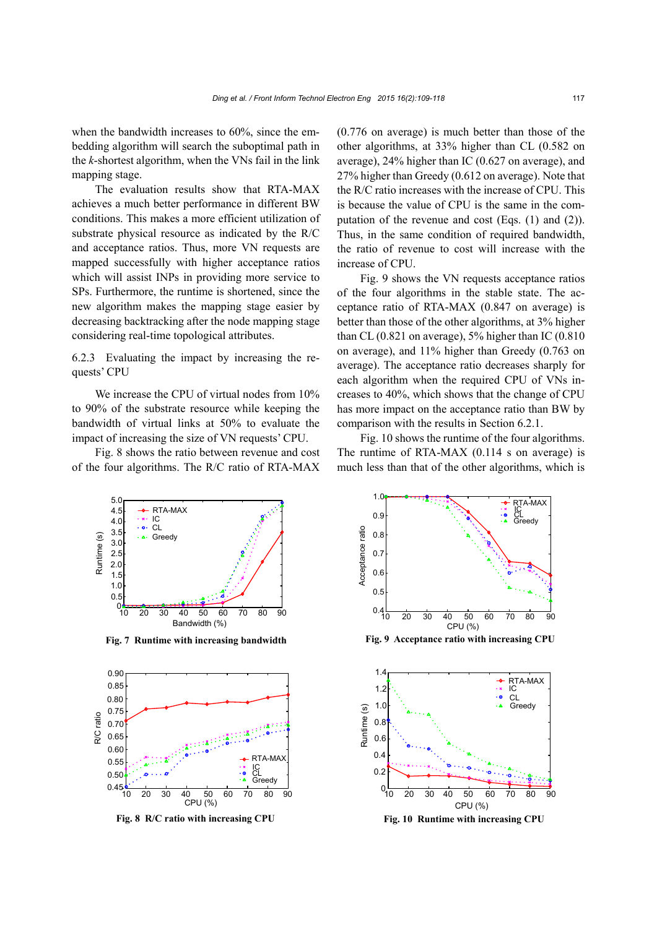when the bandwidth increases to 60%, since the embedding algorithm will search the suboptimal path in the *k*-shortest algorithm, when the VNs fail in the link mapping stage.

The evaluation results show that RTA-MAX achieves a much better performance in different BW conditions. This makes a more efficient utilization of substrate physical resource as indicated by the R/C and acceptance ratios. Thus, more VN requests are mapped successfully with higher acceptance ratios which will assist INPs in providing more service to SPs. Furthermore, the runtime is shortened, since the new algorithm makes the mapping stage easier by decreasing backtracking after the node mapping stage considering real-time topological attributes.

6.2.3 Evaluating the impact by increasing the requests' CPU

We increase the CPU of virtual nodes from 10% to 90% of the substrate resource while keeping the bandwidth of virtual links at 50% to evaluate the impact of increasing the size of VN requests' CPU.

Fig. 8 shows the ratio between revenue and cost of the four algorithms. The R/C ratio of RTA-MAX

(0.776 on average) is much better than those of the other algorithms, at 33% higher than CL (0.582 on average), 24% higher than IC (0.627 on average), and 27% higher than Greedy (0.612 on average). Note that the R/C ratio increases with the increase of CPU. This is because the value of CPU is the same in the computation of the revenue and cost (Eqs. (1) and (2)). Thus, in the same condition of required bandwidth, the ratio of revenue to cost will increase with the increase of CPU.

Fig. 9 shows the VN requests acceptance ratios of the four algorithms in the stable state. The acceptance ratio of RTA-MAX (0.847 on average) is better than those of the other algorithms, at 3% higher than CL (0.821 on average), 5% higher than IC (0.810 on average), and 11% higher than Greedy (0.763 on average). The acceptance ratio decreases sharply for each algorithm when the required CPU of VNs increases to 40%, which shows that the change of CPU has more impact on the acceptance ratio than BW by comparison with the results in Section 6.2.1.

Fig. 10 shows the runtime of the four algorithms. The runtime of RTA-MAX (0.114 s on average) is much less than that of the other algorithms, which is



**Fig. 7 Runtime with increasing bandwidth**



**Fig. 8 R/C ratio with increasing CPU**